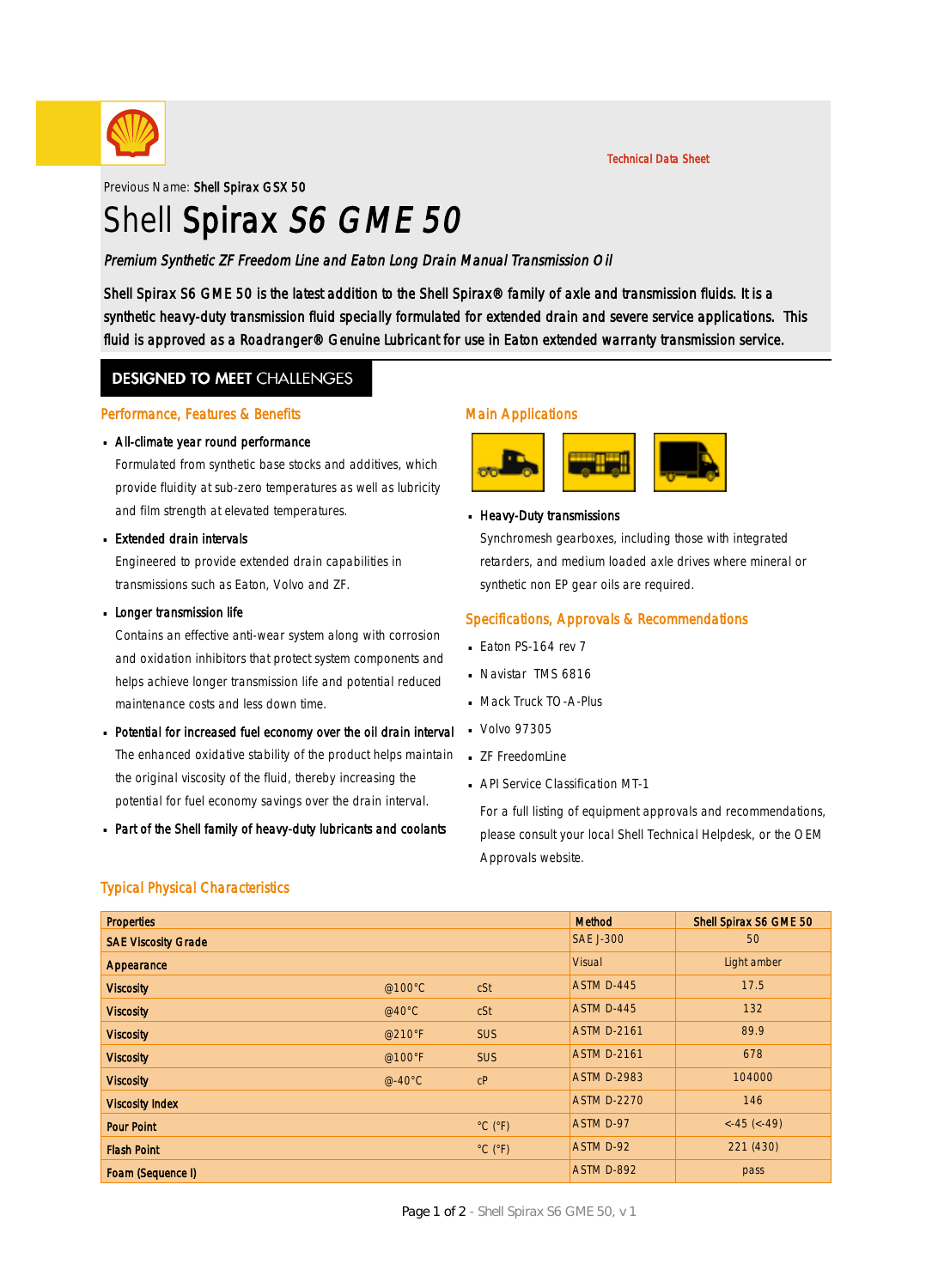

Previous Name: Shell Spirax GSX 50

# Shell Spirax S6 GME 50

# Premium Synthetic ZF Freedom Line and Eaton Long Drain Manual Transmission Oil

Shell Spirax S6 GME 50 is the latest addition to the Shell Spirax® family of axle and transmission fluids. It is a synthetic heavy-duty transmission fluid specially formulated for extended drain and severe service applications. This fluid is approved as a Roadranger® Genuine Lubricant for use in Eaton extended warranty transmission service.

# **DESIGNED TO MEET CHALLENGES**

#### Performance, Features & Benefits

#### All-climate year round performance ·

Formulated from synthetic base stocks and additives, which provide fluidity at sub-zero temperatures as well as lubricity and film strength at elevated temperatures.

#### Extended drain intervals ·

Engineered to provide extended drain capabilities in transmissions such as Eaton, Volvo and ZF.

#### **Longer transmission life**

Contains an effective anti-wear system along with corrosion and oxidation inhibitors that protect system components and helps achieve longer transmission life and potential reduced maintenance costs and less down time.

- Potential for increased fuel economy over the oil drain interval · The enhanced oxidative stability of the product helps maintain the original viscosity of the fluid, thereby increasing the potential for fuel economy savings over the drain interval.
- Part of the Shell family of heavy-duty lubricants and coolants ·

# Main Applications



**B** Heavy-Duty transmissions

Synchromesh gearboxes, including those with integrated retarders, and medium loaded axle drives where mineral or synthetic non EP gear oils are required.

Technical Data Sheet

# Specifications, Approvals & Recommendations

- $E$ aton PS-164 rev 7
- Navistar TMS 6816 ·
- **Mack Truck TO-A-Plus**
- Volvo 97305 ·
- **ZF FreedomLine**
- **API Service Classification MT-1**

For a full listing of equipment approvals and recommendations, please consult your local Shell Technical Helpdesk, or the OEM Approvals website.

# Typical Physical Characteristics

| <b>Properties</b>          |                  |                              | Method             | Shell Spirax S6 GME 50 |
|----------------------------|------------------|------------------------------|--------------------|------------------------|
| <b>SAE Viscosity Grade</b> |                  |                              | <b>SAE J-300</b>   | 50                     |
| Appearance                 |                  |                              | <b>Visual</b>      | Light amber            |
| <b>Viscosity</b>           | @100°C           | cSt                          | ASTM D-445         | 17.5                   |
| <b>Viscosity</b>           | @40 $^{\circ}$ C | cSt                          | ASTM D-445         | 132                    |
| <b>Viscosity</b>           | @210°F           | <b>SUS</b>                   | <b>ASTM D-2161</b> | 89.9                   |
| <b>Viscosity</b>           | @100 $\degree$ F | <b>SUS</b>                   | <b>ASTM D-2161</b> | 678                    |
| <b>Viscosity</b>           | $@-40°C$         | C <sub>P</sub>               | <b>ASTM D-2983</b> | 104000                 |
| <b>Viscosity Index</b>     |                  |                              | <b>ASTM D-2270</b> | 146                    |
| <b>Pour Point</b>          |                  | $^{\circ}$ C ( $^{\circ}$ F) | ASTM D-97          | $<-45$ ( $<-49$ )      |
| <b>Flash Point</b>         |                  | $^{\circ}$ C ( $^{\circ}$ F) | ASTM D-92          | 221 (430)              |
| Foam (Sequence I)          |                  |                              | ASTM D-892         | pass                   |